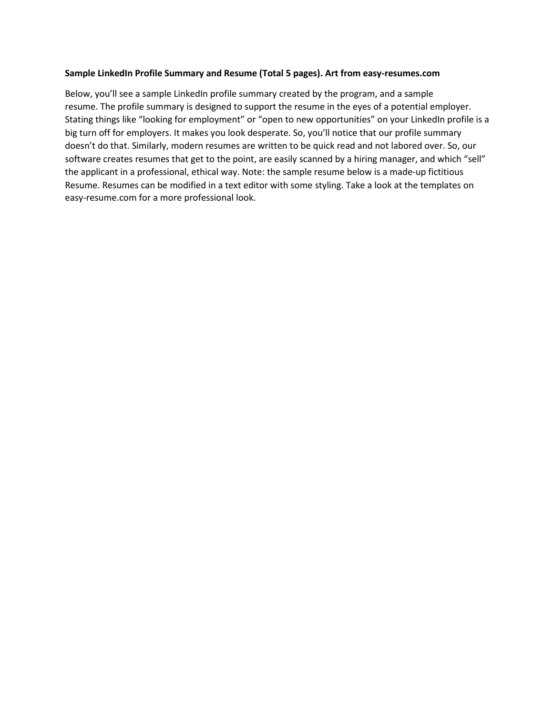#### **Sample LinkedIn Profile Summary and Resume (Total 5 pages). Art from easy-resumes.com**

Below, you'll see a sample LinkedIn profile summary created by the program, and a sample resume. The profile summary is designed to support the resume in the eyes of a potential employer. Stating things like "looking for employment" or "open to new opportunities" on your LinkedIn profile is a big turn off for employers. It makes you look desperate. So, you'll notice that our profile summary doesn't do that. Similarly, modern resumes are written to be quick read and not labored over. So, our software creates resumes that get to the point, are easily scanned by a hiring manager, and which "sell" the applicant in a professional, ethical way. Note: the sample resume below is a made-up fictitious Resume. Resumes can be modified in a text editor with some styling. Take a look at the templates on easy-resume.com for a more professional look.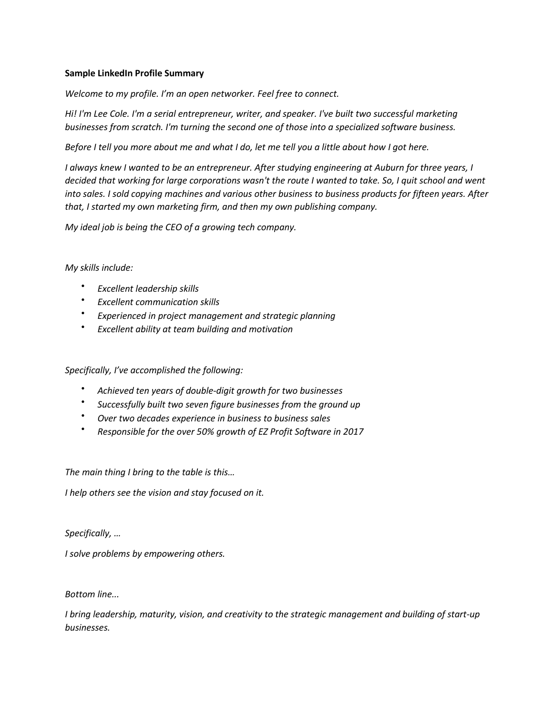## **Sample LinkedIn Profile Summary**

*Welcome to my profile. I'm an open networker. Feel free to connect.* 

*Hi! I'm Lee Cole. I'm a serial entrepreneur, writer, and speaker. I've built two successful marketing businesses from scratch. I'm turning the second one of those into a specialized software business.* 

*Before I tell you more about me and what I do, let me tell you a little about how I got here.* 

*I always knew I wanted to be an entrepreneur. After studying engineering at Auburn for three years, I decided that working for large corporations wasn't the route I wanted to take. So, I quit school and went into sales. I sold copying machines and various other business to business products for fifteen years. After that, I started my own marketing firm, and then my own publishing company.* 

*My ideal job is being the CEO of a growing tech company.* 

## *My skills include:*

- *Excellent leadership skills*
- *Excellent communication skills*
- *Experienced in project management and strategic planning*
- *Excellent ability at team building and motivation*

*Specifically, I've accomplished the following:* 

- *Achieved ten years of double-digit growth for two businesses*
- *Successfully built two seven figure businesses from the ground up*
- *Over two decades experience in business to business sales*
- *Responsible for the over 50% growth of EZ Profit Software in 2017*

*The main thing I bring to the table is this…* 

*I help others see the vision and stay focused on it.* 

*Specifically, …* 

*I solve problems by empowering others.* 

## *Bottom line...*

*I bring leadership, maturity, vision, and creativity to the strategic management and building of start-up businesses.*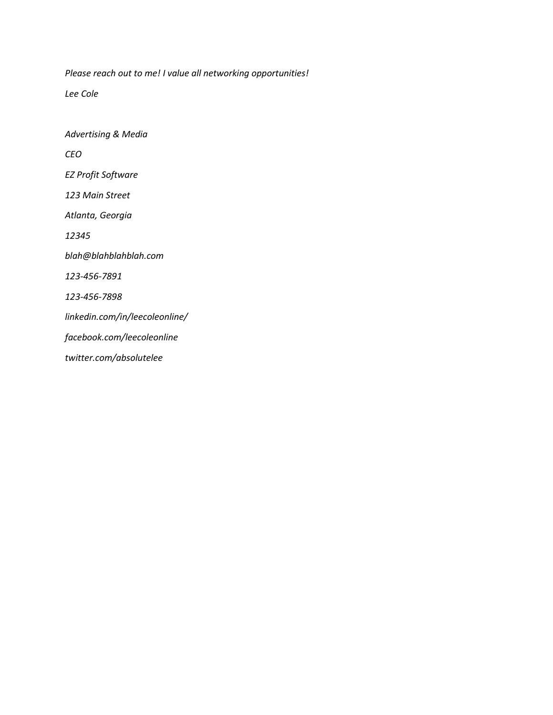*Please reach out to me! I value all networking opportunities!* 

*Lee Cole* 

*Advertising & Media CEO EZ Profit Software 123 Main Street Atlanta, Georgia 12345 blah@blahblahblah.com 123-456-7891 123-456-7898 linkedin.com/in/leecoleonline/ facebook.com/leecoleonline twitter.com/absolutelee*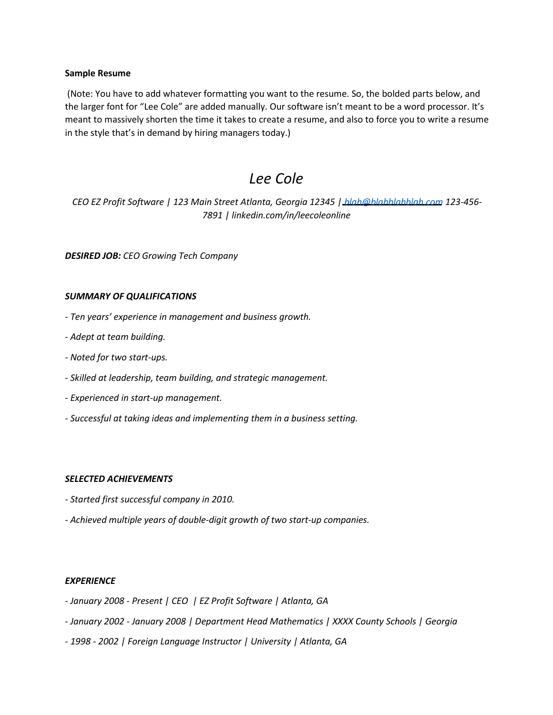#### **Sample Resume**

(Note: You have to add whatever formatting you want to the resume. So, the bolded parts below, and the larger font for "Lee Cole" are added manually. Our software isn't meant to be a word processor. It's meant to massively shorten the time it takes to create a resume, and also to force you to write a resume in the style that's in demand by hiring managers today.)

# *Lee Cole*

*CEO EZ Profit Software | 123 Main Street Atlanta, Georgia 12345 | blah@blahblahblah.com 123-456- 7891 | linkedin.com/in/leecoleonline* 

*DESIRED JOB: CEO Growing Tech Company* 

### *SUMMARY OF QUALIFICATIONS*

- *Ten years' experience in management and business growth.*
- *Adept at team building.*
- *Noted for two start-ups.*
- *Skilled at leadership, team building, and strategic management.*
- *Experienced in start-up management.*
- *Successful at taking ideas and implementing them in a business setting.*

#### *SELECTED ACHIEVEMENTS*

- *Started first successful company in 2010.*
- *Achieved multiple years of double-digit growth of two start-up companies.*

## *EXPERIENCE*

- *January 2008 Present | CEO | EZ Profit Software | Atlanta, GA*
- *January 2002 January 2008 | Department Head Mathematics | XXXX County Schools | Georgia*
- *1998 2002 | Foreign Language Instructor | University | Atlanta, GA*